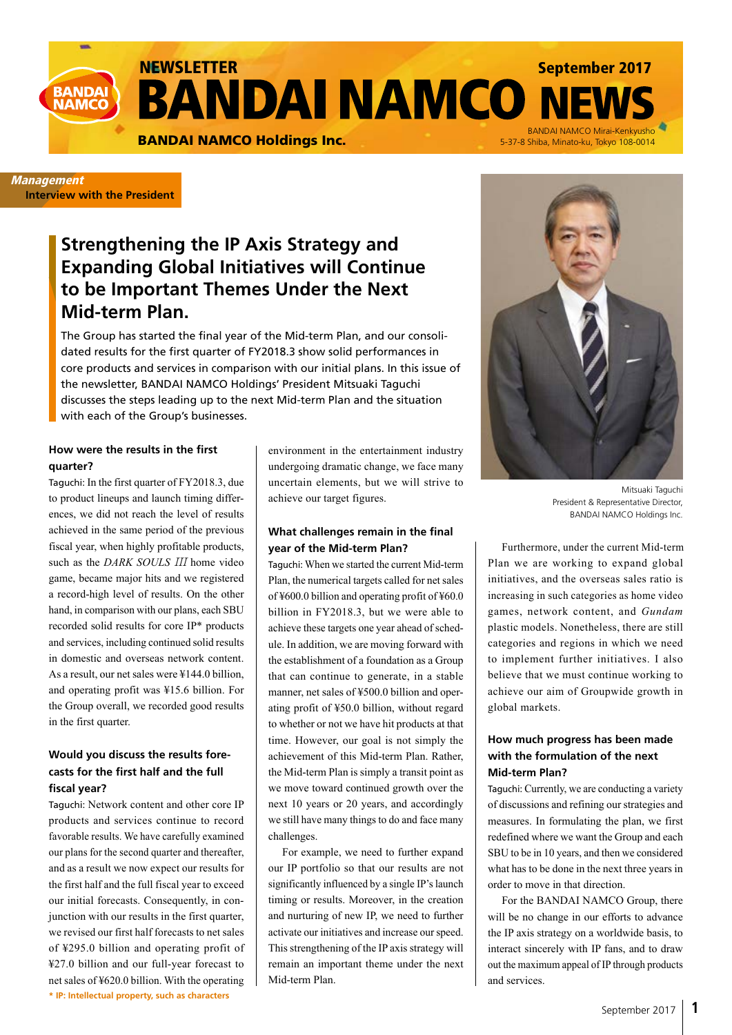NEWSLETTER<br>**BANDAI NAMCO NI** 

BANDAI NAMCO Holdings Inc.<br>BANDAI NAMCO Holdings Inc. 65-37-8 Shiba. Minato-ku. Tokyo 108-0014

### **Management Interview with the President**

**BANDA NAMCC** 

# **Strengthening the IP Axis Strategy and Expanding Global Initiatives will Continue to be Important Themes Under the Next Mid-term Plan.**

The Group has started the final year of the Mid-term Plan, and our consolidated results for the first quarter of FY2018.3 show solid performances in core products and services in comparison with our initial plans. In this issue of the newsletter, BANDAI NAMCO Holdings' President Mitsuaki Taguchi discusses the steps leading up to the next Mid-term Plan and the situation with each of the Group's businesses.

## **How were the results in the first quarter?**

Taguchi: In the first quarter of FY2018.3, due to product lineups and launch timing differences, we did not reach the level of results achieved in the same period of the previous fiscal year, when highly profitable products, such as the *DARK SOULS* III home video game, became major hits and we registered a record-high level of results. On the other hand, in comparison with our plans, each SBU recorded solid results for core IP\* products and services, including continued solid results in domestic and overseas network content. As a result, our net sales were ¥144.0 billion, and operating profit was ¥15.6 billion. For the Group overall, we recorded good results in the first quarter.

## **Would you discuss the results forecasts for the first half and the full fiscal year?**

**\* IP: Intellectual property, such as characters** Taguchi: Network content and other core IP products and services continue to record favorable results. We have carefully examined our plans for the second quarter and thereafter, and as a result we now expect our results for the first half and the full fiscal year to exceed our initial forecasts. Consequently, in conjunction with our results in the first quarter, we revised our first half forecasts to net sales of ¥295.0 billion and operating profit of ¥27.0 billion and our full-year forecast to net sales of ¥620.0 billion. With the operating environment in the entertainment industry undergoing dramatic change, we face many uncertain elements, but we will strive to achieve our target figures.

### **What challenges remain in the final year of the Mid-term Plan?**

Taguchi: When we started the current Mid-term Plan, the numerical targets called for net sales of ¥600.0 billion and operating profit of ¥60.0 billion in FY2018.3, but we were able to achieve these targets one year ahead of schedule. In addition, we are moving forward with the establishment of a foundation as a Group that can continue to generate, in a stable manner, net sales of ¥500.0 billion and operating profit of ¥50.0 billion, without regard to whether or not we have hit products at that time. However, our goal is not simply the achievement of this Mid-term Plan. Rather, the Mid-term Plan is simply a transit point as we move toward continued growth over the next 10 years or 20 years, and accordingly we still have many things to do and face many challenges.

For example, we need to further expand our IP portfolio so that our results are not significantly influenced by a single IP's launch timing or results. Moreover, in the creation and nurturing of new IP, we need to further activate our initiatives and increase our speed. This strengthening of the IP axis strategy will remain an important theme under the next Mid-term Plan.



September 2017

5-37-8 Shiba, Minato-ku, Tokyo 108-0014

Mitsuaki Taguchi President & Representative Director, BANDAI NAMCO Holdings Inc.

Furthermore, under the current Mid-term Plan we are working to expand global initiatives, and the overseas sales ratio is increasing in such categories as home video games, network content, and *Gundam* plastic models. Nonetheless, there are still categories and regions in which we need to implement further initiatives. I also believe that we must continue working to achieve our aim of Groupwide growth in global markets.

# **How much progress has been made with the formulation of the next Mid-term Plan?**

Taguchi: Currently, we are conducting a variety of discussions and refining our strategies and measures. In formulating the plan, we first redefined where we want the Group and each SBU to be in 10 years, and then we considered what has to be done in the next three years in order to move in that direction.

For the BANDAI NAMCO Group, there will be no change in our efforts to advance the IP axis strategy on a worldwide basis, to interact sincerely with IP fans, and to draw out the maximum appeal of IP through products and services.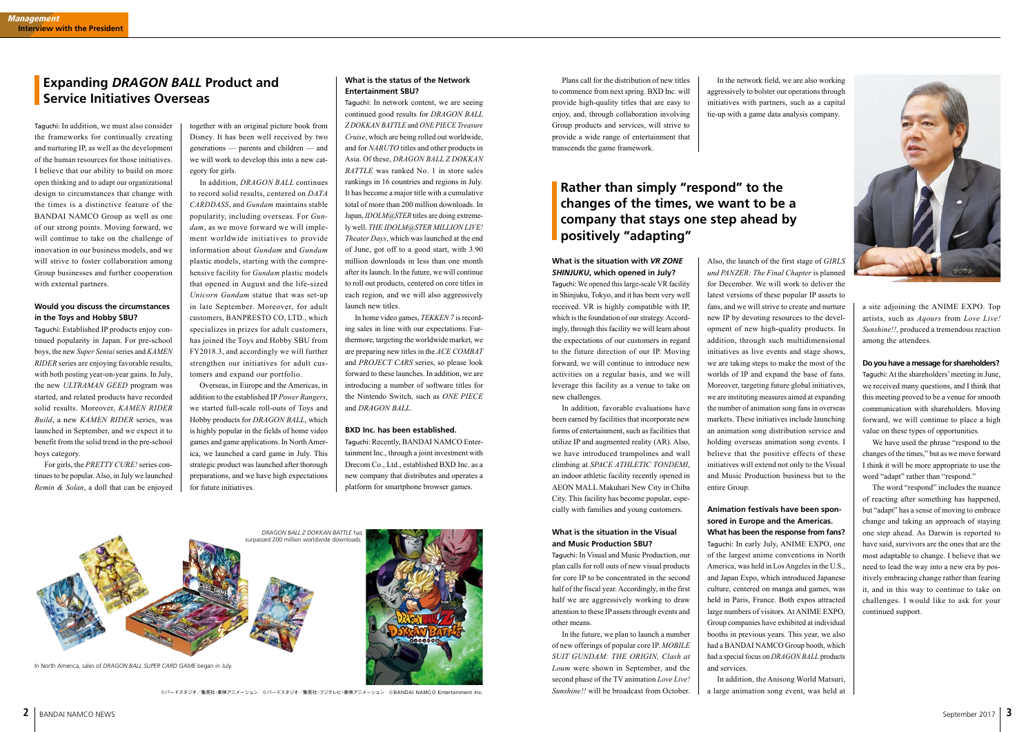©バードスタジオ/集英社・東映アニメーション ©バードスタジオ/集英社・フジテレビ・東映アニメーション ©BANDAI NAMCO Entertainment Inc.





Taguchi: In addition, we must also consider the frameworks for continually creating and nurturing IP, as well as the development of the human resources for those initiatives. I believe that our ability to build on more open thinking and to adapt our organizational design to circumstances that change with the times is a distinctive feature of the BANDAI NAMCO Group as well as one of our strong points. Moving forward, we will continue to take on the challenge of innovation in our business models, and we will strive to foster collaboration among Group businesses and further cooperation with external partners.

### **Would you discuss the circumstances in the Toys and Hobby SBU?**

Taguchi: Established IP products enjoy continued popularity in Japan. For pre-school boys, the new *Super Sentai* series and *KAMEN RIDER* series are enjoying favorable results, with both posting year-on-year gains. In July, the new *ULTRAMAN GEED* program was started, and related products have recorded solid results. Moreover, *KAMEN RIDER Build*, a new *KAMEN RIDER* series, was launched in September, and we expect it to benefit from the solid trend in the pre-school boys category.

For girls, the *PRETTY CURE!* series continues to be popular. Also, in July we launched *Remin & Solan*, a doll that can be enjoyed

### **What is the situation with** *VR ZONE SHINJUKU***, which opened in July?**

Taguchi: We opened this large-scale VR facility in Shinjuku, Tokyo, and it has been very well received. VR is highly compatible with IP, which is the foundation of our strategy. Accordingly, through this facility we will learn about the expectations of our customers in regard to the future direction of our IP. Moving forward, we will continue to introduce new activities on a regular basis, and we will leverage this facility as a venue to take on new challenges.

In addition, favorable evaluations have been earned by facilities that incorporate new forms of entertainment, such as facilities that utilize IP and augmented reality (AR). Also, we have introduced trampolines and wall climbing at *SPACE ATHLETIC TONDEMI*, an indoor athletic facility recently opened in AEON MALL Makuhari New City in Chiba City. This facility has become popular, especially with families and young customers.

### **What is the situation in the Visual and Music Production SBU?**

Taguchi: In Visual and Music Production, our plan calls for roll outs of new visual products for core IP to be concentrated in the second half of the fiscal year. Accordingly, in the first half we are aggressively working to draw attention to these IP assets through events and other means.

In the future, we plan to launch a number of new offerings of popular core IP. *MOBILE SUIT GUNDAM: THE ORIGIN, Clash at Loum* were shown in September, and the second phase of the TV animation *Love Live! Sunshine!!* will be broadcast from October.

together with an original picture book from Disney. It has been well received by two generations — parents and children — and we will work to develop this into a new category for girls.

In addition, *DRAGON BALL* continues to record solid results, centered on *DATA CARDDASS*, and *Gundam* maintains stable popularity, including overseas. For *Gundam*, as we move forward we will implement worldwide initiatives to provide information about *Gundam* and *Gundam* plastic models, starting with the comprehensive facility for *Gundam* plastic models that opened in August and the life-sized *Unicorn Gundam* statue that was set-up in late September. Moreover, for adult customers, BANPRESTO CO, LTD., which specializes in prizes for adult customers, has joined the Toys and Hobby SBU from FY2018.3, and accordingly we will further strengthen our initiatives for adult customers and expand our portfolio.

Overseas, in Europe and the Americas, in addition to the established IP *Power Rangers*, we started full-scale roll-outs of Toys and Hobby products for *DRAGON BALL*, which is highly popular in the fields of home video games and game applications. In North America, we launched a card game in July. This strategic product was launched after thorough preparations, and we have high expectations for future initiatives.

Also, the launch of the first stage of *GIRLS und PANZER: The Final Chapter* is planned for December. We will work to deliver the latest versions of these popular IP assets to fans, and we will strive to create and nurture new IP by devoting resources to the development of new high-quality products. In addition, through such multidimensional initiatives as live events and stage shows, we are taking steps to make the most of the worlds of IP and expand the base of fans. Moreover, targeting future global initiatives, we are instituting measures aimed at expanding the number of animation song fans in overseas markets. These initiatives include launching an animation song distribution service and holding overseas animation song events. I believe that the positive effects of these initiatives will extend not only to the Visual and Music Production business but to the entire Group.

### **Animation festivals have been sponsored in Europe and the Americas. What has been the response from fans?**

Taguchi: In early July, ANIME EXPO, one of the largest anime conventions in North America, was held in Los Angeles in the U.S., and Japan Expo, which introduced Japanese culture, centered on manga and games, was held in Paris, France. Both expos attracted large numbers of visitors. At ANIME EXPO, Group companies have exhibited at individual booths in previous years. This year, we also had a BANDAI NAMCO Group booth, which had a special focus on *DRAGON BALL* products and services.

In addition, the Anisong World Matsuri, a large animation song event, was held at



# **What is the status of the Network Entertainment SBU?**

Taguchi: In network content, we are seeing continued good results for *DRAGON BALL Z DOKKAN BATTLE* and *ONE PIECE Treasure Cruise*, which are being rolled out worldwide, and for *NARUTO* titles and other products in Asia. Of these, *DRAGON BALL Z DOKKAN BATTLE* was ranked No. 1 in store sales rankings in 16 countries and regions in July. It has become a major title with a cumulative total of more than 200 million downloads. In Japan, *IDOLM@STER* titles are doing extremely well. *THE IDOLM@STER MILLION LIVE! Theater Days*, which was launched at the end of June, got off to a good start, with 3.90 million downloads in less than one month after its launch. In the future, we will continue to roll out products, centered on core titles in each region, and we will also aggressively launch new titles.

In home video games, *TEKKEN 7* is recording sales in line with our expectations. Furthermore, targeting the worldwide market, we are preparing new titles in the *ACE COMBAT* and *PROJECT CARS* series, so please look forward to these launches. In addition, we are introducing a number of software titles for the Nintendo Switch, such as *ONE PIECE* and *DRAGON BALL*.

## **BXD Inc. has been established.**

Taguchi: Recently, BANDAI NAMCO Entertainment Inc., through a joint investment with Drecom Co., Ltd., established BXD Inc. as a new company that distributes and operates a platform for smartphone browser games.

Plans call for the distribution of new titles to commence from next spring. BXD Inc. will provide high-quality titles that are easy to enjoy, and, through collaboration involving Group products and services, will strive to provide a wide range of entertainment that transcends the game framework.

In the network field, we are also working aggressively to bolster our operations through initiatives with partners, such as a capital tie-up with a game data analysis company.

> a site adjoining the ANIME EXPO. Top artists, such as *Aqours* from *Love Live! Sunshine!!*, produced a tremendous reaction among the attendees.

## **Do you have a message for shareholders?**

Taguchi: At the shareholders' meeting in June, we received many questions, and I think that this meeting proved to be a venue for smooth communication with shareholders. Moving forward, we will continue to place a high value on these types of opportunities.

We have used the phrase "respond to the changes of the times," but as we move forward I think it will be more appropriate to use the word "adapt" rather than "respond."

The word "respond" includes the nuance of reacting after something has happened, but "adapt" has a sense of moving to embrace change and taking an approach of staying one step ahead. As Darwin is reported to have said, survivors are the ones that are the most adaptable to change. I believe that we need to lead the way into a new era by positively embracing change rather than fearing it, and in this way to continue to take on challenges. I would like to ask for your continued support.

# **Expanding** *DRAGON BALL* **Product and Service Initiatives Overseas**

# **Rather than simply "respond" to the changes of the times, we want to be a company that stays one step ahead by positively "adapting"**